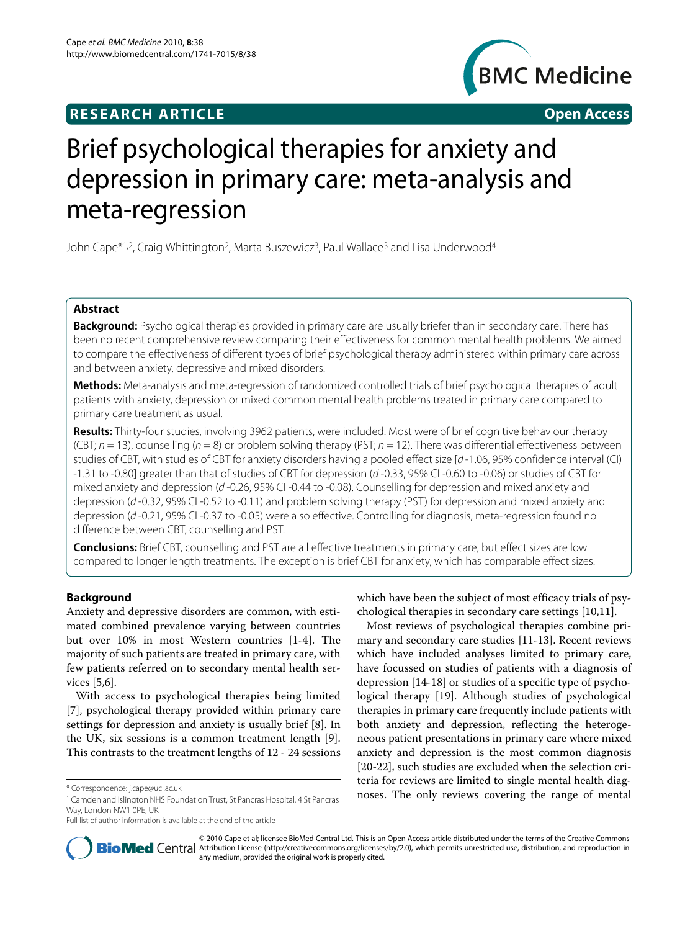# **RESEARCH ARTICLE Open Access**



# Brief psychological therapies for anxiety and depression in primary care: meta-analysis and meta-regression

John Cape<sup>\*1,2</sup>, Craig Whittington<sup>2</sup>, Marta Buszewicz<sup>3</sup>, Paul Wallace<sup>3</sup> and Lisa Underwood<sup>4</sup>

# **Abstract**

**Background:** Psychological therapies provided in primary care are usually briefer than in secondary care. There has been no recent comprehensive review comparing their effectiveness for common mental health problems. We aimed to compare the effectiveness of different types of brief psychological therapy administered within primary care across and between anxiety, depressive and mixed disorders.

**Methods:** Meta-analysis and meta-regression of randomized controlled trials of brief psychological therapies of adult patients with anxiety, depression or mixed common mental health problems treated in primary care compared to primary care treatment as usual.

**Results:** Thirty-four studies, involving 3962 patients, were included. Most were of brief cognitive behaviour therapy (CBT;  $n = 13$ ), counselling ( $n = 8$ ) or problem solving therapy (PST;  $n = 12$ ). There was differential effectiveness between studies of CBT, with studies of CBT for anxiety disorders having a pooled effect size [d -1.06, 95% confidence interval (CI) -1.31 to -0.80] greater than that of studies of CBT for depression (d -0.33, 95% CI -0.60 to -0.06) or studies of CBT for mixed anxiety and depression (d -0.26, 95% CI -0.44 to -0.08). Counselling for depression and mixed anxiety and depression (d -0.32, 95% CI -0.52 to -0.11) and problem solving therapy (PST) for depression and mixed anxiety and depression (d-0.21, 95% CI-0.37 to -0.05) were also effective. Controlling for diagnosis, meta-regression found no difference between CBT, counselling and PST.

**Conclusions:** Brief CBT, counselling and PST are all effective treatments in primary care, but effect sizes are low compared to longer length treatments. The exception is brief CBT for anxiety, which has comparable effect sizes.

# **Background**

Anxiety and depressive disorders are common, with estimated combined prevalence varying between countries but over 10% in most Western countries [[1-](#page-10-0)[4](#page-10-1)]. The majority of such patients are treated in primary care, with few patients referred on to secondary mental health services [\[5](#page-10-2)[,6](#page-10-3)].

With access to psychological therapies being limited [[7\]](#page-10-4), psychological therapy provided within primary care settings for depression and anxiety is usually brief [[8\]](#page-10-5). In the UK, six sessions is a common treatment length [\[9](#page-10-6)]. This contrasts to the treatment lengths of 12 - 24 sessions

Full list of author information is available at the end of the article

which have been the subject of most efficacy trials of psychological therapies in secondary care settings [\[10](#page-10-7)[,11](#page-10-8)].

Most reviews of psychological therapies combine primary and secondary care studies [\[11](#page-10-8)-[13\]](#page-10-9). Recent reviews which have included analyses limited to primary care, have focussed on studies of patients with a diagnosis of depression [\[14](#page-10-10)-[18\]](#page-10-11) or studies of a specific type of psychological therapy [[19](#page-10-12)]. Although studies of psychological therapies in primary care frequently include patients with both anxiety and depression, reflecting the heterogeneous patient presentations in primary care where mixed anxiety and depression is the most common diagnosis [[20](#page-11-0)[-22](#page-11-1)], such studies are excluded when the selection criteria for reviews are limited to single mental health diag-\*Correspondence: j.cape@ucl.ac.uk<br>IComden and Iclination NHS Foundation Trust St Pancres Hospital 4St Pancres **noses.** The only reviews covering the range of mental



© 2010 Cape et al; licensee BioMed Central Ltd. This is an Open Access article distributed under the terms of the Creative Commons **BioMed** Central Attribution License (http://creativecommons.org/licenses/by/2.0), which permits unrestricted use, distribution, and reproduction in any medium, provided the original work is properly cited.

<sup>1</sup> Camden and Islington NHS Foundation Trust, St Pancras Hospital, 4 St Pancras Way, London NW1 0PE, UK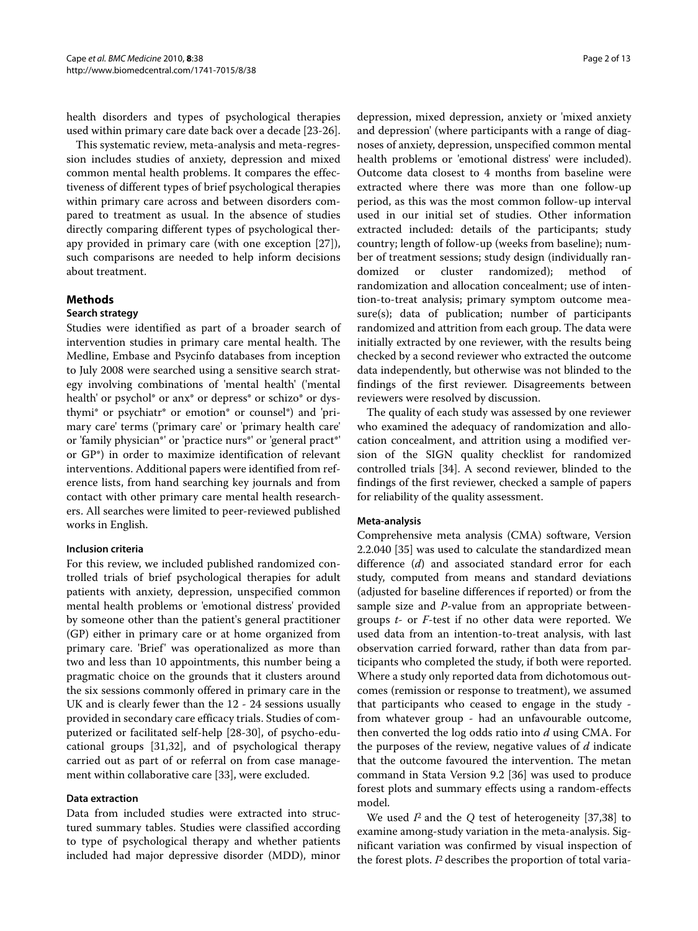health disorders and types of psychological therapies used within primary care date back over a decade [[23-](#page-11-2)[26](#page-11-3)].

This systematic review, meta-analysis and meta-regression includes studies of anxiety, depression and mixed common mental health problems. It compares the effectiveness of different types of brief psychological therapies within primary care across and between disorders compared to treatment as usual. In the absence of studies directly comparing different types of psychological therapy provided in primary care (with one exception [\[27\]](#page-11-4)), such comparisons are needed to help inform decisions about treatment.

# **Methods**

## **Search strategy**

Studies were identified as part of a broader search of intervention studies in primary care mental health. The Medline, Embase and Psycinfo databases from inception to July 2008 were searched using a sensitive search strategy involving combinations of 'mental health' ('mental health' or psychol\* or anx\* or depress\* or schizo\* or dysthymi\* or psychiatr\* or emotion\* or counsel\*) and 'primary care' terms ('primary care' or 'primary health care' or 'family physician\*' or 'practice nurs\*' or 'general pract\*' or GP\*) in order to maximize identification of relevant interventions. Additional papers were identified from reference lists, from hand searching key journals and from contact with other primary care mental health researchers. All searches were limited to peer-reviewed published works in English.

## **Inclusion criteria**

For this review, we included published randomized controlled trials of brief psychological therapies for adult patients with anxiety, depression, unspecified common mental health problems or 'emotional distress' provided by someone other than the patient's general practitioner (GP) either in primary care or at home organized from primary care. 'Brief' was operationalized as more than two and less than 10 appointments, this number being a pragmatic choice on the grounds that it clusters around the six sessions commonly offered in primary care in the UK and is clearly fewer than the 12 - 24 sessions usually provided in secondary care efficacy trials. Studies of computerized or facilitated self-help [\[28](#page-11-5)-[30\]](#page-11-6), of psycho-educational groups [\[31](#page-11-7),[32](#page-11-8)], and of psychological therapy carried out as part of or referral on from case management within collaborative care [\[33](#page-11-9)], were excluded.

# **Data extraction**

Data from included studies were extracted into structured summary tables. Studies were classified according to type of psychological therapy and whether patients included had major depressive disorder (MDD), minor

depression, mixed depression, anxiety or 'mixed anxiety and depression' (where participants with a range of diagnoses of anxiety, depression, unspecified common mental health problems or 'emotional distress' were included). Outcome data closest to 4 months from baseline were extracted where there was more than one follow-up period, as this was the most common follow-up interval used in our initial set of studies. Other information extracted included: details of the participants; study country; length of follow-up (weeks from baseline); number of treatment sessions; study design (individually randomized or cluster randomized); method of randomization and allocation concealment; use of intention-to-treat analysis; primary symptom outcome measure(s); data of publication; number of participants randomized and attrition from each group. The data were initially extracted by one reviewer, with the results being checked by a second reviewer who extracted the outcome data independently, but otherwise was not blinded to the findings of the first reviewer. Disagreements between reviewers were resolved by discussion.

The quality of each study was assessed by one reviewer who examined the adequacy of randomization and allocation concealment, and attrition using a modified version of the SIGN quality checklist for randomized controlled trials [\[34](#page-11-10)]. A second reviewer, blinded to the findings of the first reviewer, checked a sample of papers for reliability of the quality assessment.

## **Meta-analysis**

Comprehensive meta analysis (CMA) software, Version 2.2.040 [[35](#page-11-11)] was used to calculate the standardized mean difference (*d*) and associated standard error for each study, computed from means and standard deviations (adjusted for baseline differences if reported) or from the sample size and *P*-value from an appropriate betweengroups *t*- or *F*-test if no other data were reported. We used data from an intention-to-treat analysis, with last observation carried forward, rather than data from participants who completed the study, if both were reported. Where a study only reported data from dichotomous outcomes (remission or response to treatment), we assumed that participants who ceased to engage in the study from whatever group - had an unfavourable outcome, then converted the log odds ratio into *d* using CMA. For the purposes of the review, negative values of *d* indicate that the outcome favoured the intervention. The metan command in Stata Version 9.2 [[36](#page-11-12)] was used to produce forest plots and summary effects using a random-effects model.

We used *I*2 and the *Q* test of heterogeneity [\[37](#page-11-13),[38](#page-11-14)] to examine among-study variation in the meta-analysis. Significant variation was confirmed by visual inspection of the forest plots. *I*2 describes the proportion of total varia-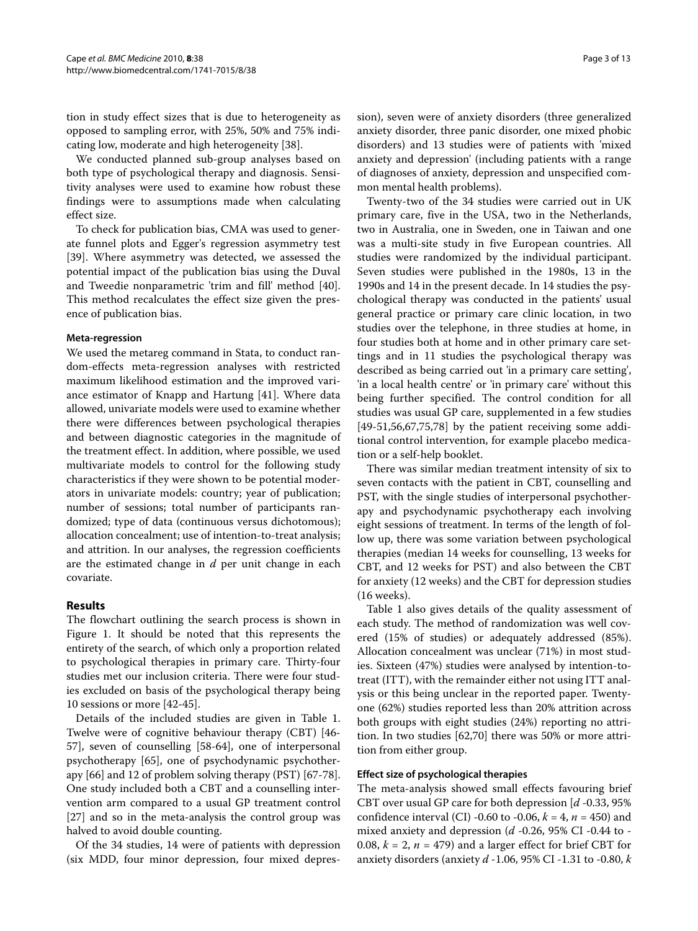tion in study effect sizes that is due to heterogeneity as opposed to sampling error, with 25%, 50% and 75% indicating low, moderate and high heterogeneity [\[38](#page-11-14)].

We conducted planned sub-group analyses based on both type of psychological therapy and diagnosis. Sensitivity analyses were used to examine how robust these findings were to assumptions made when calculating effect size.

To check for publication bias, CMA was used to generate funnel plots and Egger's regression asymmetry test [[39\]](#page-11-15). Where asymmetry was detected, we assessed the potential impact of the publication bias using the Duval and Tweedie nonparametric 'trim and fill' method [\[40](#page-11-16)]. This method recalculates the effect size given the presence of publication bias.

## **Meta-regression**

We used the metareg command in Stata, to conduct random-effects meta-regression analyses with restricted maximum likelihood estimation and the improved variance estimator of Knapp and Hartung [[41\]](#page-11-17). Where data allowed, univariate models were used to examine whether there were differences between psychological therapies and between diagnostic categories in the magnitude of the treatment effect. In addition, where possible, we used multivariate models to control for the following study characteristics if they were shown to be potential moderators in univariate models: country; year of publication; number of sessions; total number of participants randomized; type of data (continuous versus dichotomous); allocation concealment; use of intention-to-treat analysis; and attrition. In our analyses, the regression coefficients are the estimated change in *d* per unit change in each covariate.

# **Results**

The flowchart outlining the search process is shown in Figure [1.](#page-3-0) It should be noted that this represents the entirety of the search, of which only a proportion related to psychological therapies in primary care. Thirty-four studies met our inclusion criteria. There were four studies excluded on basis of the psychological therapy being 10 sessions or more [\[42](#page-11-18)-[45\]](#page-11-19).

Details of the included studies are given in Table [1](#page-4-0). Twelve were of cognitive behaviour therapy (CBT) [\[46-](#page-11-20) [57](#page-11-21)], seven of counselling [[58](#page-11-22)-[64\]](#page-11-23), one of interpersonal psychotherapy [\[65](#page-11-24)], one of psychodynamic psychotherapy [\[66](#page-11-25)] and 12 of problem solving therapy (PST) [[67-](#page-11-26)[78](#page-12-0)]. One study included both a CBT and a counselling intervention arm compared to a usual GP treatment control [[27\]](#page-11-4) and so in the meta-analysis the control group was halved to avoid double counting.

Of the 34 studies, 14 were of patients with depression (six MDD, four minor depression, four mixed depresPage 3 of 13

sion), seven were of anxiety disorders (three generalized anxiety disorder, three panic disorder, one mixed phobic disorders) and 13 studies were of patients with 'mixed anxiety and depression' (including patients with a range of diagnoses of anxiety, depression and unspecified common mental health problems).

Twenty-two of the 34 studies were carried out in UK primary care, five in the USA, two in the Netherlands, two in Australia, one in Sweden, one in Taiwan and one was a multi-site study in five European countries. All studies were randomized by the individual participant. Seven studies were published in the 1980s, 13 in the 1990s and 14 in the present decade. In 14 studies the psychological therapy was conducted in the patients' usual general practice or primary care clinic location, in two studies over the telephone, in three studies at home, in four studies both at home and in other primary care settings and in 11 studies the psychological therapy was described as being carried out 'in a primary care setting', 'in a local health centre' or 'in primary care' without this being further specified. The control condition for all studies was usual GP care, supplemented in a few studies  $[49-51,56,67,75,78]$  $[49-51,56,67,75,78]$  $[49-51,56,67,75,78]$  $[49-51,56,67,75,78]$  $[49-51,56,67,75,78]$  $[49-51,56,67,75,78]$  $[49-51,56,67,75,78]$  $[49-51,56,67,75,78]$  $[49-51,56,67,75,78]$  $[49-51,56,67,75,78]$  by the patient receiving some additional control intervention, for example placebo medication or a self-help booklet.

There was similar median treatment intensity of six to seven contacts with the patient in CBT, counselling and PST, with the single studies of interpersonal psychotherapy and psychodynamic psychotherapy each involving eight sessions of treatment. In terms of the length of follow up, there was some variation between psychological therapies (median 14 weeks for counselling, 13 weeks for CBT, and 12 weeks for PST) and also between the CBT for anxiety (12 weeks) and the CBT for depression studies (16 weeks).

Table 1 also gives details of the quality assessment of each study. The method of randomization was well covered (15% of studies) or adequately addressed (85%). Allocation concealment was unclear (71%) in most studies. Sixteen (47%) studies were analysed by intention-totreat (ITT), with the remainder either not using ITT analysis or this being unclear in the reported paper. Twentyone (62%) studies reported less than 20% attrition across both groups with eight studies (24%) reporting no attrition. In two studies [\[62](#page-11-30)[,70\]](#page-12-2) there was 50% or more attrition from either group.

## **Effect size of psychological therapies**

The meta-analysis showed small effects favouring brief CBT over usual GP care for both depression [*d* -0.33, 95% confidence interval (CI) -0.60 to -0.06,  $k = 4$ ,  $n = 450$ ) and mixed anxiety and depression (*d* -0.26, 95% CI -0.44 to - 0.08,  $k = 2$ ,  $n = 479$ ) and a larger effect for brief CBT for anxiety disorders (anxiety *d* -1.06, 95% CI -1.31 to -0.80, *k*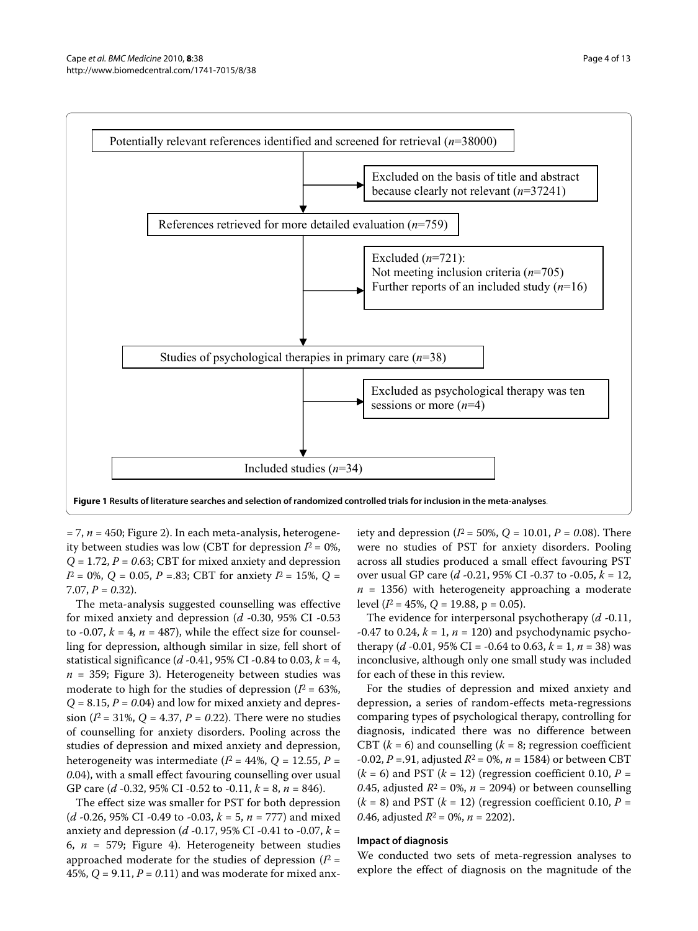<span id="page-3-0"></span>

**Figure 1 Results of literature searches and selection of randomized controlled trials for inclusion in the meta-analyses**.

= 7, *n* = 450; Figure [2\)](#page-6-0). In each meta-analysis, heterogeneity between studies was low (CBT for depression  $I^2 = 0\%$ , *Q* = 1.72, *P = 0*.63; CBT for mixed anxiety and depression  $I^2 = 0\%$ , *Q* = 0.05, *P* = 83; CBT for anxiety  $I^2 = 15\%$ , *Q* = 7.07, *P = 0*.32).

The meta-analysis suggested counselling was effective for mixed anxiety and depression (*d* -0.30, 95% CI -0.53 to  $-0.07$ ,  $k = 4$ ,  $n = 487$ ), while the effect size for counselling for depression, although similar in size, fell short of statistical significance (*d* -0.41, 95% CI -0.84 to 0.03,  $k = 4$ ,  $n = 359$  $n = 359$  $n = 359$ ; Figure 3). Heterogeneity between studies was moderate to high for the studies of depression  $(I^2 = 63\%$ ,  $Q = 8.15$ ,  $P = 0.04$ ) and low for mixed anxiety and depression (*I*2 = 31%, *Q* = 4.37, *P = 0*.22). There were no studies of counselling for anxiety disorders. Pooling across the studies of depression and mixed anxiety and depression, heterogeneity was intermediate  $(I^2 = 44\%, Q = 12.55, P =$ *0*.04), with a small effect favouring counselling over usual GP care (*d* -0.32, 95% CI -0.52 to -0.11, *k* = 8, *n* = 846).

The effect size was smaller for PST for both depression (*d* -0.26, 95% CI -0.49 to -0.03, *k* = 5, *n* = 777) and mixed anxiety and depression (*d* -0.17, 95% CI -0.41 to -0.07, *k* = 6,  $n = 579$ ; Figure [4\)](#page-8-0). Heterogeneity between studies approached moderate for the studies of depression  $(I^2 =$ 45%,  $Q = 9.11$ ,  $P = 0.11$ ) and was moderate for mixed anx-

iety and depression (*I*2 = 50%, *Q* = 10.01, *P = 0*.08). There were no studies of PST for anxiety disorders. Pooling across all studies produced a small effect favouring PST over usual GP care (*d* -0.21, 95% CI -0.37 to -0.05, *k* = 12, *n* = 1356) with heterogeneity approaching a moderate level  $(I^2 = 45\%, Q = 19.88, p = 0.05)$ .

The evidence for interpersonal psychotherapy (*d* -0.11,  $-0.47$  to 0.24,  $k = 1$ ,  $n = 120$ ) and psychodynamic psychotherapy (*d* -0.01, 95% CI = -0.64 to 0.63,  $k = 1$ ,  $n = 38$ ) was inconclusive, although only one small study was included for each of these in this review.

For the studies of depression and mixed anxiety and depression, a series of random-effects meta-regressions comparing types of psychological therapy, controlling for diagnosis, indicated there was no difference between CBT  $(k = 6)$  and counselling  $(k = 8)$ ; regression coefficient -0.02, *P =*.91, adjusted *R*2 = 0%, *n* = 1584) or between CBT  $(k = 6)$  and PST  $(k = 12)$  (regression coefficient 0.10,  $P =$ 0.45, adjusted  $R^2 = 0\%$ ,  $n = 2094$ ) or between counselling  $(k = 8)$  and PST  $(k = 12)$  (regression coefficient 0.10,  $P =$ *0*.46, adjusted *R*2 = 0%, *n* = 2202).

#### **Impact of diagnosis**

We conducted two sets of meta-regression analyses to explore the effect of diagnosis on the magnitude of the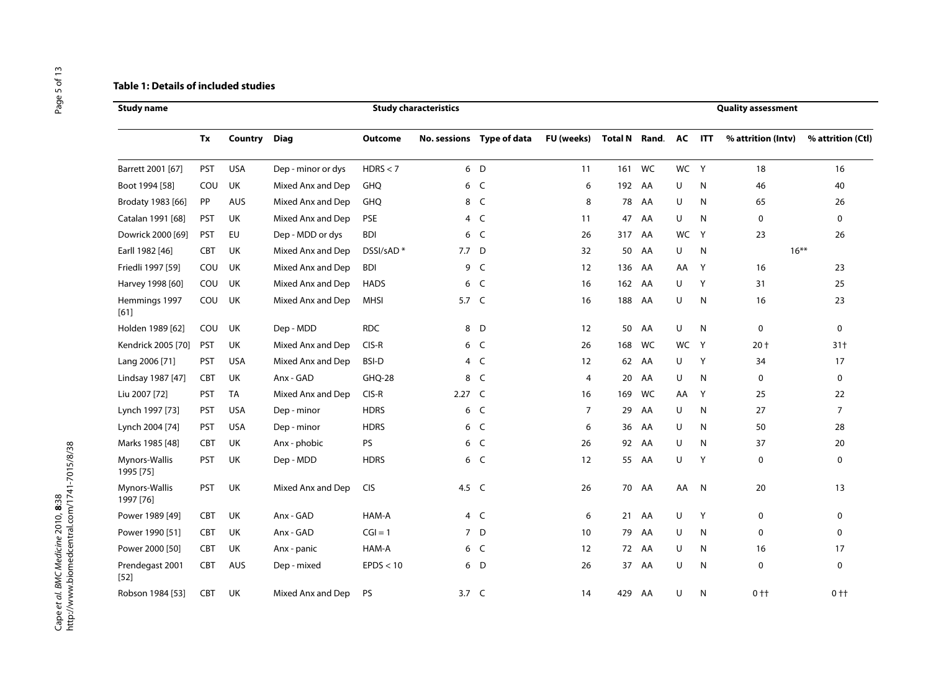# **Table 1: Details of included studies**

<span id="page-4-0"></span>

| <b>Study name</b>          |            | <b>Study characteristics</b> |                    |                       |        |                            |            |               |    |           | <b>Quality assessment</b> |                    |                   |  |  |  |  |
|----------------------------|------------|------------------------------|--------------------|-----------------------|--------|----------------------------|------------|---------------|----|-----------|---------------------------|--------------------|-------------------|--|--|--|--|
|                            | Tx         | Country                      | <b>Diag</b>        | <b>Outcome</b>        |        | No. sessions  Type of data | FU (weeks) | Total N Rand. |    |           | AC ITT                    | % attrition (Intv) | % attrition (Ctl) |  |  |  |  |
| Barrett 2001 [67]          | PST        | <b>USA</b>                   | Dep - minor or dys | HDRS < 7              |        | 6 D                        | 11         | 161           | WC | WC        | Y                         | 18                 | 16                |  |  |  |  |
| Boot 1994 [58]             | COU        | UK                           | Mixed Anx and Dep  | GHQ                   |        | 6 C                        | 6          | 192           | AA | U         | N                         | 46                 | 40                |  |  |  |  |
| Brodaty 1983 [66]          | PP         | <b>AUS</b>                   | Mixed Anx and Dep  | GHQ                   |        | 8 C                        | 8          | 78            | AA | U         | N                         | 65                 | 26                |  |  |  |  |
| Catalan 1991 [68]          | <b>PST</b> | UK                           | Mixed Anx and Dep  | <b>PSE</b>            |        | $4\quad C$                 | 11         | 47            | AA | U         | N                         | 0                  | 0                 |  |  |  |  |
| Dowrick 2000 [69]          | PST        | EU                           | Dep - MDD or dys   | <b>BDI</b>            |        | 6 C                        | 26         | 317           | AA | <b>WC</b> | Y                         | 23                 | 26                |  |  |  |  |
| Earll 1982 [46]            | <b>CBT</b> | UK                           | Mixed Anx and Dep  | DSSI/sAD <sup>*</sup> | 7.7 D  |                            | 32         | 50            | AA | U         | N                         | $16***$            |                   |  |  |  |  |
| Friedli 1997 [59]          | COU        | UK                           | Mixed Anx and Dep  | <b>BDI</b>            |        | $9-$                       | 12         | 136           | AA | AA        | Y                         | 16                 | 23                |  |  |  |  |
| Harvey 1998 [60]           | COU        | UK                           | Mixed Anx and Dep  | <b>HADS</b>           |        | 6 C                        | 16         | 162           | AA | U         | Y                         | 31                 | 25                |  |  |  |  |
| Hemmings 1997<br>$[61]$    | COU        | UK                           | Mixed Anx and Dep  | <b>MHSI</b>           | 5.7 C  |                            | 16         | 188           | AA | U         | N                         | 16                 | 23                |  |  |  |  |
| Holden 1989 [62]           | COU        | UK                           | Dep - MDD          | <b>RDC</b>            |        | 8 D                        | 12         | 50            | AA | U         | N                         | 0                  | 0                 |  |  |  |  |
| Kendrick 2005 [70]         | PST        | UK                           | Mixed Anx and Dep  | CIS-R                 |        | 6 C                        | 26         | 168           | WC | WC        | Y                         | $20+$              | $31+$             |  |  |  |  |
| Lang 2006 [71]             | <b>PST</b> | <b>USA</b>                   | Mixed Anx and Dep  | <b>BSI-D</b>          |        | 4 C                        | 12         | 62            | AA | U         | Y                         | 34                 | 17                |  |  |  |  |
| Lindsay 1987 [47]          | <b>CBT</b> | UK                           | Anx - GAD          | GHQ-28                |        | 8 C                        | 4          | 20            | AA | U         | N                         | 0                  | 0                 |  |  |  |  |
| Liu 2007 [72]              | PST        | <b>TA</b>                    | Mixed Anx and Dep  | CIS-R                 | 2.27 C |                            | 16         | 169           | WC | AA        | Υ                         | 25                 | 22                |  |  |  |  |
| Lynch 1997 [73]            | <b>PST</b> | <b>USA</b>                   | Dep - minor        | <b>HDRS</b>           | 6      | $\mathsf{C}$               | 7          | 29            | AA | U         | N                         | 27                 | $\overline{7}$    |  |  |  |  |
| Lynch 2004 [74]            | <b>PST</b> | <b>USA</b>                   | Dep - minor        | <b>HDRS</b>           |        | 6 C                        | 6          | 36            | AA | U         | N                         | 50                 | 28                |  |  |  |  |
| Marks 1985 [48]            | CBT        | UK                           | Anx - phobic       | <b>PS</b>             |        | 6 C                        | 26         | 92            | AA | U         | Ν                         | 37                 | 20                |  |  |  |  |
| Mynors-Wallis<br>1995 [75] | PST        | UK                           | Dep - MDD          | <b>HDRS</b>           |        | 6 C                        | 12         | 55            | AA | U         | Υ                         | 0                  | 0                 |  |  |  |  |
| Mynors-Wallis<br>1997 [76] | PST        | UK                           | Mixed Anx and Dep  | <b>CIS</b>            | 4.5 C  |                            | 26         | 70            | AA | AA        | N                         | 20                 | 13                |  |  |  |  |
| Power 1989 [49]            | CBT        | UK                           | Anx - GAD          | HAM-A                 |        | 4 C                        | 6          | 21            | AA | U         | Υ                         | 0                  | 0                 |  |  |  |  |
| Power 1990 [51]            | <b>CBT</b> | UK                           | Anx - GAD          | $CGI = 1$             |        | 7 D                        | 10         | 79            | AA | U         | Ν                         | 0                  | 0                 |  |  |  |  |
| Power 2000 [50]            | CBT        | UK                           | Anx - panic        | HAM-A                 |        | 6 C                        | 12         | 72            | AA | U         | N                         | 16                 | 17                |  |  |  |  |
| Prendegast 2001<br>$[52]$  | CBT        | AUS                          | Dep - mixed        | EPDS < 10             |        | 6 D                        | 26         | 37            | AA | U         | N                         | 0                  | $\mathbf 0$       |  |  |  |  |
| Robson 1984 [53]           | <b>CBT</b> | UK                           | Mixed Anx and Dep  | PS                    | 3.7 C  |                            | 14         | 429           | AA | U         | N                         | 0 <sup>†</sup>     | 0 <sup>†</sup>    |  |  |  |  |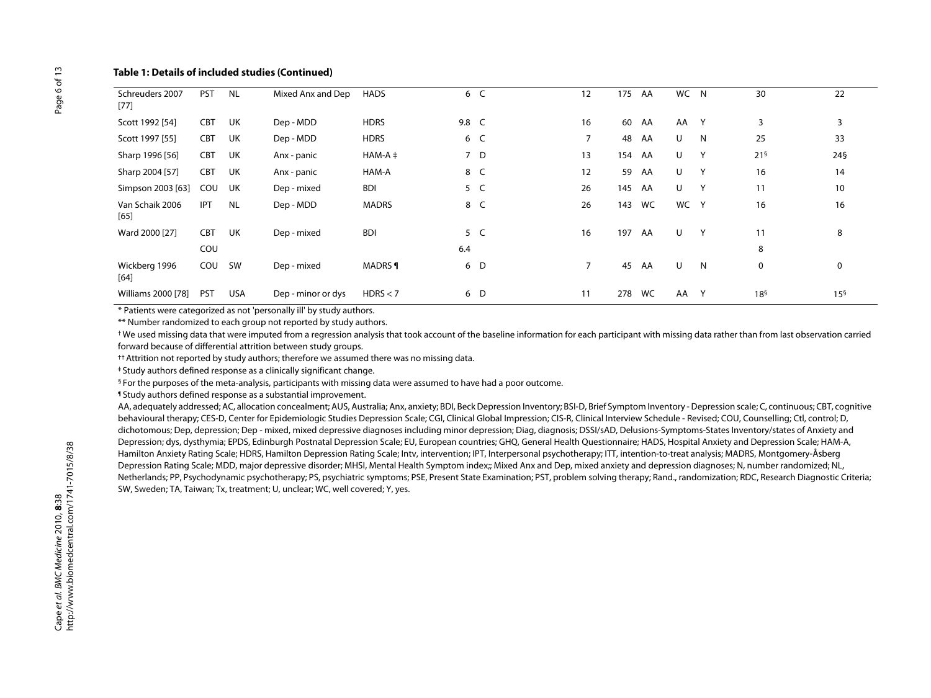## **Table 1: Details of included studies (Continued)**

| Schreuders 2007<br>$[77]$ | PST        | <b>NL</b>  | Mixed Anx and Dep  | <b>HADS</b>        |       | 6 C | 12             | 175 | AA | WC N |   | 30              | 22              |
|---------------------------|------------|------------|--------------------|--------------------|-------|-----|----------------|-----|----|------|---|-----------------|-----------------|
| Scott 1992 [54]           | <b>CBT</b> | UK         | Dep - MDD          | <b>HDRS</b>        | 9.8 C |     | 16             | 60  | AA | AA Y |   | 3               | 3               |
| Scott 1997 [55]           | <b>CBT</b> | <b>UK</b>  | Dep - MDD          | <b>HDRS</b>        |       | 6 C | $\overline{7}$ | 48  | AA | U    | N | 25              | 33              |
| Sharp 1996 [56]           | <b>CBT</b> | UK         | Anx - panic        | $HAM-A$ $\ddagger$ |       | 7 D | 13             | 154 | AA | U    | Y | 21 <sup>5</sup> | 24§             |
| Sharp 2004 [57]           | <b>CBT</b> | UK         | Anx - panic        | HAM-A              |       | 8 C | 12             | 59  | AA | U    | Y | 16              | 14              |
| Simpson 2003 [63]         | COU        | UK         | Dep - mixed        | <b>BDI</b>         |       | 5 C | 26             | 145 | AA | U    | Y | 11              | 10              |
| Van Schaik 2006<br>$[65]$ | <b>IPT</b> | <b>NL</b>  | Dep - MDD          | <b>MADRS</b>       |       | 8 C | 26             | 143 | WC | WC   | Y | 16              | 16              |
| Ward 2000 [27]            | <b>CBT</b> | UK         | Dep - mixed        | <b>BDI</b>         |       | 5 C | 16             | 197 | AA | U    | Y | 11              | 8               |
|                           | COU        |            |                    |                    | 6.4   |     |                |     |    |      |   | 8               |                 |
| Wickberg 1996<br>$[64]$   | COU        | <b>SW</b>  | Dep - mixed        | <b>MADRS</b> 1     |       | 6 D | $\overline{7}$ | 45  | AA | U    | N | 0               | 0               |
| Williams 2000 [78]        | <b>PST</b> | <b>USA</b> | Dep - minor or dys | HDRS < 7           |       | 6 D | 11             | 278 | WC | AA Y |   | 18 <sup>5</sup> | 15 <sup>5</sup> |

\* Patients were categorized as not 'personally ill' by study authors.

\*\* Number randomized to each group not reported by study authors.

† We used missing data that were imputed from a regression analysis that took account of the baseline information for each participant with missing data rather than from last observation carried forward because of differential attrition between study groups.

†† Attrition not reported by study authors; therefore we assumed there was no missing data.

‡ Study authors defined response as a clinically significant change.

§ For the purposes of the meta-analysis, participants with missing data were assumed to have had a poor outcome.

¶ Study authors defined response as a substantial improvement.

AA, adequately addressed; AC, allocation concealment; AUS, Australia; Anx, anxiety; BDI, Beck Depression Inventory; BSI-D, Brief Symptom Inventory - Depression scale; C, continuous; CBT, cognitive behavioural therapy; CES-D, Center for Epidemiologic Studies Depression Scale; CGI, Clinical Global Impression; CIS-R, Clinical Interview Schedule - Revised; COU, Counselling; Ctl, control; D, dichotomous; Dep, depression; Dep - mixed, mixed depressive diagnoses including minor depression; Diag, diagnosis; DSSI/sAD, Delusions-Symptoms-States Inventory/states of Anxiety and Depression; dys, dysthymia; EPDS, Edinburgh Postnatal Depression Scale; EU, European countries; GHQ, General Health Questionnaire; HADS, Hospital Anxiety and Depression Scale; HAM-A, Hamilton Anxiety Rating Scale; HDRS, Hamilton Depression Rating Scale; Intv, intervention; IPT, Interpersonal psychotherapy; ITT, intention-to-treat analysis; MADRS, Montgomery-Åsberg Depression Rating Scale; MDD, major depressive disorder; MHSI, Mental Health Symptom index;; Mixed Anx and Dep, mixed anxiety and depression diagnoses; N, number randomized; NL, Netherlands; PP, Psychodynamic psychotherapy; PS, psychiatric symptoms; PSE, Present State Examination; PST, problem solving therapy; Rand., randomization; RDC, Research Diagnostic Criteria; SW, Sweden; TA, Taiwan; Tx, treatment; U, unclear; WC, well covered; Y, yes.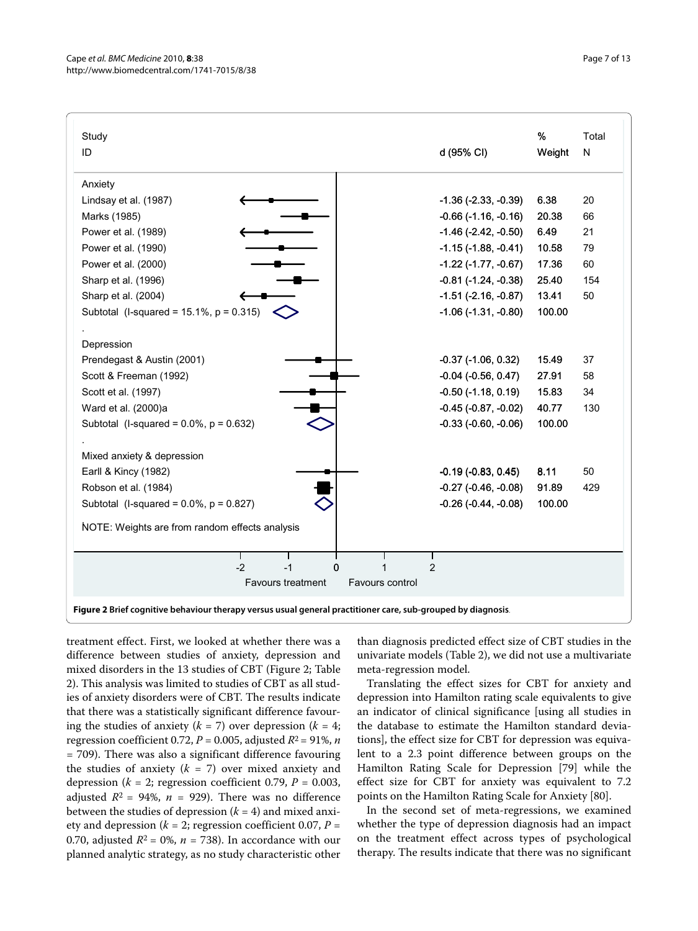<span id="page-6-0"></span>

| Study<br>ID                                                                                                                                                                   | d (95% CI)                                                                                                                                        | %<br>Weight                                | Total<br>N            |
|-------------------------------------------------------------------------------------------------------------------------------------------------------------------------------|---------------------------------------------------------------------------------------------------------------------------------------------------|--------------------------------------------|-----------------------|
| Anxiety                                                                                                                                                                       |                                                                                                                                                   |                                            |                       |
| Lindsay et al. (1987)                                                                                                                                                         | $-1.36$ ( $-2.33$ , $-0.39$ )                                                                                                                     | 6.38                                       | 20                    |
| Marks (1985)                                                                                                                                                                  | $-0.66$ ( $-1.16$ , $-0.16$ )                                                                                                                     | 20.38                                      | 66                    |
| Power et al. (1989)                                                                                                                                                           | $-1.46$ ( $-2.42$ , $-0.50$ )                                                                                                                     | 6.49                                       | 21                    |
| Power et al. (1990)                                                                                                                                                           | $-1.15(-1.88, -0.41)$                                                                                                                             | 10.58                                      | 79                    |
| Power et al. (2000)                                                                                                                                                           | $-1.22$ ( $-1.77$ , $-0.67$ )                                                                                                                     | 17.36                                      | 60                    |
| Sharp et al. (1996)                                                                                                                                                           | $-0.81$ ( $-1.24$ , $-0.38$ )                                                                                                                     | 25.40                                      | 154                   |
| Sharp et al. (2004)                                                                                                                                                           | $-1.51$ ( $-2.16$ , $-0.87$ )                                                                                                                     | 13.41                                      | 50                    |
| Subtotal (I-squared = $15.1\%$ , p = 0.315)                                                                                                                                   | $-1.06$ $(-1.31, -0.80)$                                                                                                                          | 100.00                                     |                       |
| Depression<br>Prendegast & Austin (2001)<br>Scott & Freeman (1992)<br>Scott et al. (1997)<br>Ward et al. (2000)a<br>Subtotal (I-squared = $0.0\%$ , $p = 0.632$ )             | $-0.37$ ( $-1.06$ , $0.32$ )<br>$-0.04$ $(-0.56, 0.47)$<br>$-0.50$ ( $-1.18$ , $0.19$ )<br>$-0.45$ ( $-0.87, -0.02$ )<br>$-0.33$ $(-0.60, -0.06)$ | 15.49<br>27.91<br>15.83<br>40.77<br>100.00 | 37<br>58<br>34<br>130 |
| Mixed anxiety & depression<br>Earll & Kincy (1982)<br>Robson et al. (1984)<br>Subtotal (I-squared = $0.0\%$ , p = $0.827$ )<br>NOTE: Weights are from random effects analysis | $-0.19$ ( $-0.83$ , $0.45$ )<br>$-0.27$ $(-0.46, -0.08)$<br>$-0.26$ $(-0.44, -0.08)$                                                              | 8.11<br>91.89<br>100.00                    | 50<br>429             |
| $-2$<br>$-1$<br>$\mathbf{0}$<br>1<br><b>Favours treatment</b><br>Favours control                                                                                              | $\overline{2}$                                                                                                                                    |                                            |                       |

**Figure 2 Brief cognitive behaviour therapy versus usual general practitioner care, sub-grouped by diagnosis**.

treatment effect. First, we looked at whether there was a difference between studies of anxiety, depression and mixed disorders in the 13 studies of CBT (Figure [2;](#page-6-0) Table 2). This analysis was limited to studies of CBT as all studies of anxiety disorders were of CBT. The results indicate that there was a statistically significant difference favouring the studies of anxiety  $(k = 7)$  over depression  $(k = 4;$ regression coefficient 0.72,  $P = 0.005$ , adjusted  $R^2 = 91\%$ , *n* = 709). There was also a significant difference favouring the studies of anxiety  $(k = 7)$  over mixed anxiety and depression ( $k = 2$ ; regression coefficient 0.79,  $P = 0.003$ , adjusted  $R^2 = 94\%, n = 929$ . There was no difference between the studies of depression  $(k = 4)$  and mixed anxiety and depression ( $k = 2$ ; regression coefficient 0.07,  $P =$ 0.70, adjusted  $R^2 = 0\%$ ,  $n = 738$ ). In accordance with our planned analytic strategy, as no study characteristic other

than diagnosis predicted effect size of CBT studies in the univariate models (Table 2), we did not use a multivariate meta-regression model.

Translating the effect sizes for CBT for anxiety and depression into Hamilton rating scale equivalents to give an indicator of clinical significance [using all studies in the database to estimate the Hamilton standard deviations], the effect size for CBT for depression was equivalent to a 2.3 point difference between groups on the Hamilton Rating Scale for Depression [[79\]](#page-12-14) while the effect size for CBT for anxiety was equivalent to 7.2 points on the Hamilton Rating Scale for Anxiety [\[80](#page-12-15)].

In the second set of meta-regressions, we examined whether the type of depression diagnosis had an impact on the treatment effect across types of psychological therapy. The results indicate that there was no significant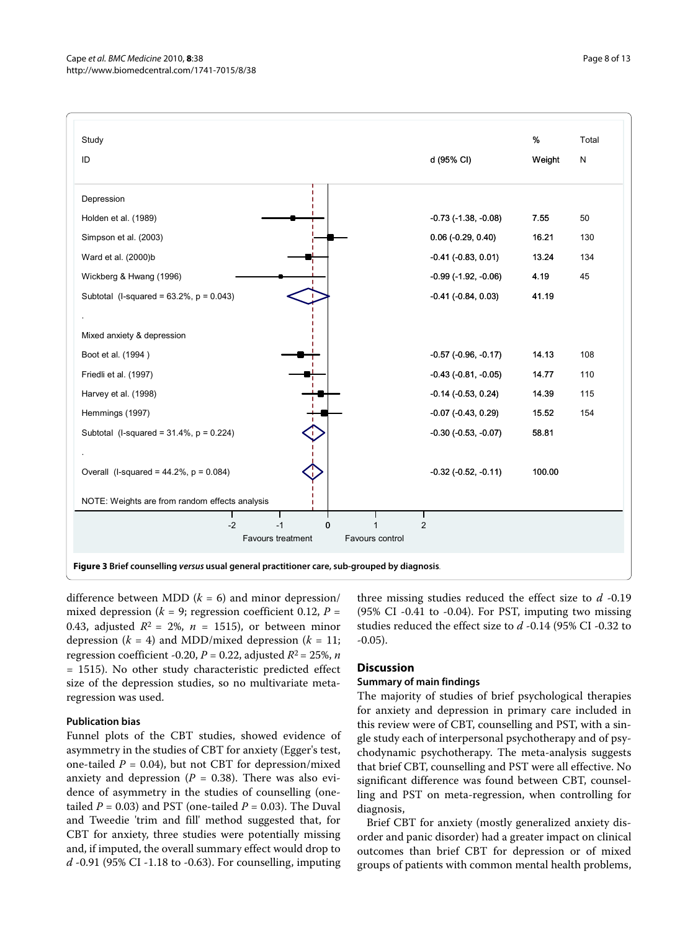<span id="page-7-0"></span>

**Figure 3 Brief counselling versus usual general practitioner care, sub-grouped by diagnosis**.

difference between MDD  $(k = 6)$  and minor depression/ mixed depression ( $k = 9$ ; regression coefficient 0.12,  $P =$ 0.43, adjusted  $R^2 = 2\%$ ,  $n = 1515$ ), or between minor depression  $(k = 4)$  and MDD/mixed depression  $(k = 11)$ ; regression coefficient -0.20,  $P = 0.22$ , adjusted  $R^2 = 25\%$ , *n* = 1515). No other study characteristic predicted effect size of the depression studies, so no multivariate metaregression was used.

# **Publication bias**

Funnel plots of the CBT studies, showed evidence of asymmetry in the studies of CBT for anxiety (Egger's test, one-tailed  $P = 0.04$ ), but not CBT for depression/mixed anxiety and depression  $(P = 0.38)$ . There was also evidence of asymmetry in the studies of counselling (onetailed  $P = 0.03$ ) and PST (one-tailed  $P = 0.03$ ). The Duval and Tweedie 'trim and fill' method suggested that, for CBT for anxiety, three studies were potentially missing and, if imputed, the overall summary effect would drop to *d* -0.91 (95% CI -1.18 to -0.63). For counselling, imputing

three missing studies reduced the effect size to *d* -0.19 (95% CI -0.41 to -0.04). For PST, imputing two missing studies reduced the effect size to *d* -0.14 (95% CI -0.32 to -0.05).

# **Discussion**

## **Summary of main findings**

The majority of studies of brief psychological therapies for anxiety and depression in primary care included in this review were of CBT, counselling and PST, with a single study each of interpersonal psychotherapy and of psychodynamic psychotherapy. The meta-analysis suggests that brief CBT, counselling and PST were all effective. No significant difference was found between CBT, counselling and PST on meta-regression, when controlling for diagnosis,

Brief CBT for anxiety (mostly generalized anxiety disorder and panic disorder) had a greater impact on clinical outcomes than brief CBT for depression or of mixed groups of patients with common mental health problems,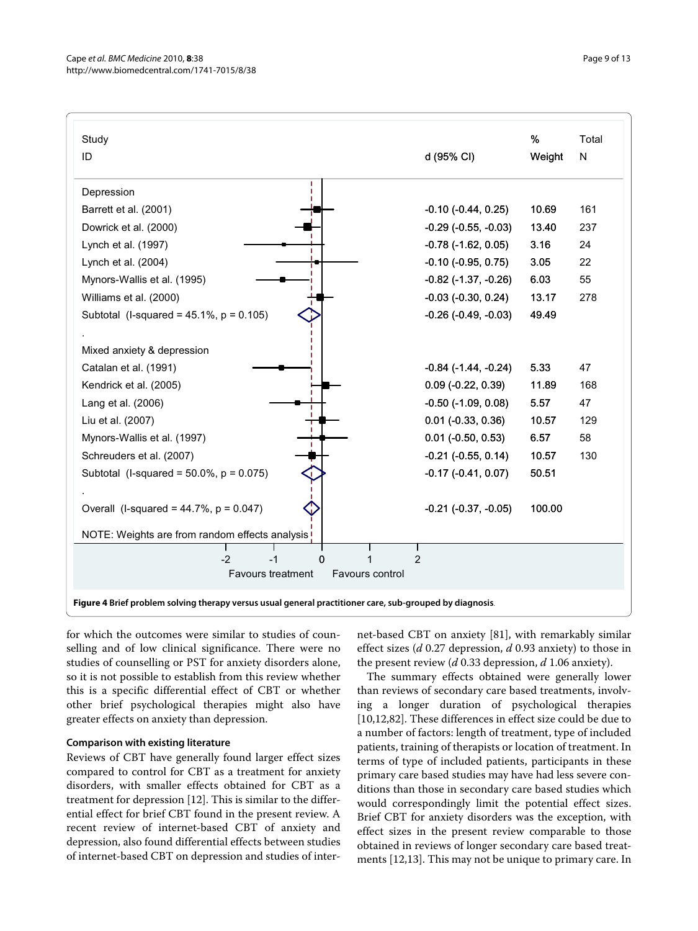<span id="page-8-0"></span>

| Study                                           |                               | %      | Total |
|-------------------------------------------------|-------------------------------|--------|-------|
| ID                                              | d (95% CI)                    | Weight | N     |
| Depression                                      |                               |        |       |
| Barrett et al. (2001)                           | $-0.10$ $(-0.44, 0.25)$       | 10.69  | 161   |
| Dowrick et al. (2000)                           | $-0.29$ ( $-0.55$ , $-0.03$ ) | 13.40  | 237   |
| Lynch et al. (1997)                             | $-0.78$ $(-1.62, 0.05)$       | 3.16   | 24    |
| Lynch et al. (2004)                             | $-0.10$ $(-0.95, 0.75)$       | 3.05   | 22    |
| Mynors-Wallis et al. (1995)                     | $-0.82$ ( $-1.37$ , $-0.26$ ) | 6.03   | 55    |
| Williams et al. (2000)                          | $-0.03$ $(-0.30, 0.24)$       | 13.17  | 278   |
| Subtotal (I-squared = $45.1\%$ , p = 0.105)     | $-0.26$ $(-0.49, -0.03)$      | 49.49  |       |
|                                                 |                               |        |       |
| Mixed anxiety & depression                      |                               |        |       |
| Catalan et al. (1991)                           | $-0.84$ ( $-1.44$ , $-0.24$ ) | 5.33   | 47    |
| Kendrick et al. (2005)                          | $0.09$ (-0.22, 0.39)          | 11.89  | 168   |
| Lang et al. (2006)                              | $-0.50$ ( $-1.09$ , $0.08$ )  | 5.57   | 47    |
| Liu et al. (2007)                               | $0.01$ (-0.33, 0.36)          | 10.57  | 129   |
| Mynors-Wallis et al. (1997)                     | $0.01$ (-0.50, 0.53)          | 6.57   | 58    |
| Schreuders et al. (2007)                        | $-0.21$ $(-0.55, 0.14)$       | 10.57  | 130   |
| Subtotal (I-squared = $50.0\%$ , $p = 0.075$ )  | $-0.17$ $(-0.41, 0.07)$       | 50.51  |       |
|                                                 |                               |        |       |
| Overall (I-squared = $44.7\%$ , p = 0.047)      | $-0.21$ $(-0.37, -0.05)$      | 100.00 |       |
| NOTE: Weights are from random effects analysis! |                               |        |       |
| $-2$<br>0<br>$-1$                               | $\overline{2}$                |        |       |
| <b>Favours treatment</b>                        | Favours control               |        |       |

for which the outcomes were similar to studies of counselling and of low clinical significance. There were no studies of counselling or PST for anxiety disorders alone, so it is not possible to establish from this review whether this is a specific differential effect of CBT or whether other brief psychological therapies might also have greater effects on anxiety than depression.

# **Comparison with existing literature**

Reviews of CBT have generally found larger effect sizes compared to control for CBT as a treatment for anxiety disorders, with smaller effects obtained for CBT as a treatment for depression [[12](#page-10-13)]. This is similar to the differential effect for brief CBT found in the present review. A recent review of internet-based CBT of anxiety and depression, also found differential effects between studies of internet-based CBT on depression and studies of internet-based CBT on anxiety [[81\]](#page-12-16), with remarkably similar effect sizes (*d* 0.27 depression, *d* 0.93 anxiety) to those in the present review (*d* 0.33 depression, *d* 1.06 anxiety).

The summary effects obtained were generally lower than reviews of secondary care based treatments, involving a longer duration of psychological therapies [[10,](#page-10-7)[12,](#page-10-13)[82\]](#page-12-17). These differences in effect size could be due to a number of factors: length of treatment, type of included patients, training of therapists or location of treatment. In terms of type of included patients, participants in these primary care based studies may have had less severe conditions than those in secondary care based studies which would correspondingly limit the potential effect sizes. Brief CBT for anxiety disorders was the exception, with effect sizes in the present review comparable to those obtained in reviews of longer secondary care based treatments [\[12](#page-10-13)[,13](#page-10-9)]. This may not be unique to primary care. In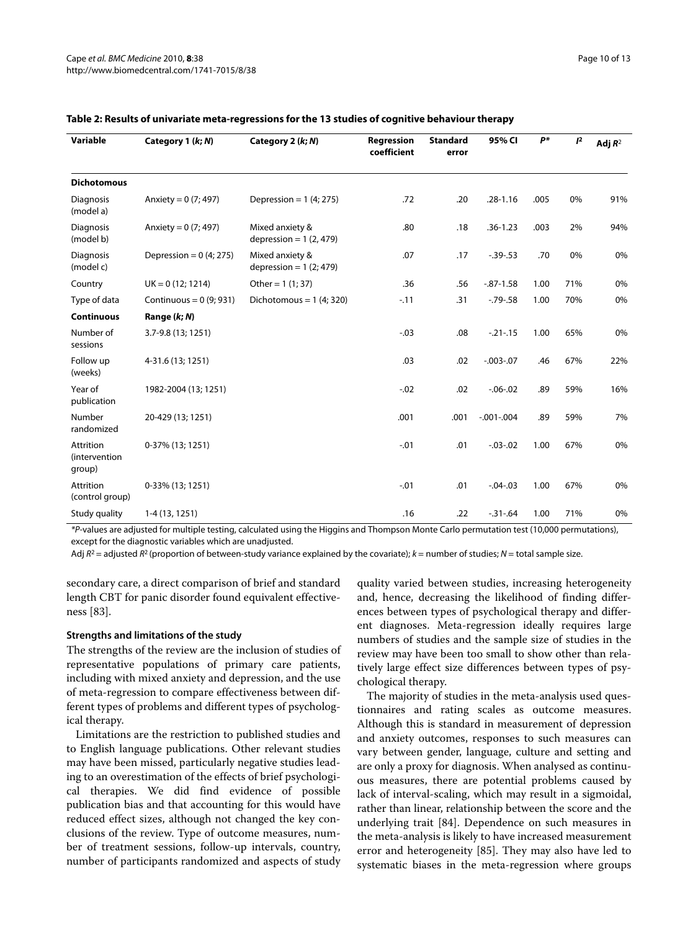| <b>Variable</b>                              | Category 1 (k; N)        | Category 2 (k; N)                           | Regression<br>coefficient | <b>Standard</b><br>error | 95% CI         | P*   | $\mathbf{I}^2$ | Adj R <sup>2</sup> |
|----------------------------------------------|--------------------------|---------------------------------------------|---------------------------|--------------------------|----------------|------|----------------|--------------------|
| <b>Dichotomous</b>                           |                          |                                             |                           |                          |                |      |                |                    |
| Diagnosis<br>(model a)                       | Anxiety = $0(7; 497)$    | Depression = $1(4; 275)$                    | .72                       | .20                      | $.28 - 1.16$   | .005 | 0%             | 91%                |
| Diagnosis<br>(model b)                       | Anxiety = $0(7; 497)$    | Mixed anxiety &<br>depression = $1(2, 479)$ | .80                       | .18                      | $.36 - 1.23$   | .003 | 2%             | 94%                |
| Diagnosis<br>(model c)                       | Depression = $0(4; 275)$ | Mixed anxiety &<br>depression = $1(2; 479)$ | .07                       | .17                      | $-0.39 - 0.53$ | .70  | 0%             | 0%                 |
| Country                                      | $UK = 0 (12; 1214)$      | Other = $1(1; 37)$                          | .36                       | .56                      | $-0.87 - 1.58$ | 1.00 | 71%            | 0%                 |
| Type of data                                 | Continuous = $0(9; 931)$ | Dichotomous = $1(4; 320)$                   | $-.11$                    | .31                      | $-79-58$       | 1.00 | 70%            | 0%                 |
| <b>Continuous</b>                            | Range (k; N)             |                                             |                           |                          |                |      |                |                    |
| Number of<br>sessions                        | 3.7-9.8 (13; 1251)       |                                             | $-.03$                    | .08                      | $-21 - 15$     | 1.00 | 65%            | 0%                 |
| Follow up<br>(weeks)                         | 4-31.6 (13; 1251)        |                                             | .03                       | .02                      | $-.003-.07$    | .46  | 67%            | 22%                |
| Year of<br>publication                       | 1982-2004 (13; 1251)     |                                             | $-.02$                    | .02                      | $-0.06 - 0.02$ | .89  | 59%            | 16%                |
| Number<br>randomized                         | 20-429 (13; 1251)        |                                             | .001                      | .001                     | $-.001-.004$   | .89  | 59%            | 7%                 |
| Attrition<br><i>(intervention)</i><br>group) | 0-37% (13; 1251)         |                                             | $-.01$                    | .01                      | $-0.03 - 0.02$ | 1.00 | 67%            | 0%                 |
| Attrition<br>(control group)                 | 0-33% (13; 1251)         |                                             | $-.01$                    | .01                      | $-0.04 - 0.03$ | 1.00 | 67%            | 0%                 |
| Study quality                                | $1-4(13, 1251)$          |                                             | .16                       | .22                      | $-0.31 - 0.64$ | 1.00 | 71%            | 0%                 |

# **Table 2: Results of univariate meta-regressions for the 13 studies of cognitive behaviour therapy**

\*P-values are adjusted for multiple testing, calculated using the Higgins and Thompson Monte Carlo permutation test (10,000 permutations), except for the diagnostic variables which are unadjusted.

Adj  $R^2$  = adjusted  $R^2$  (proportion of between-study variance explained by the covariate);  $k$  = number of studies;  $N$  = total sample size.

secondary care, a direct comparison of brief and standard length CBT for panic disorder found equivalent effectiveness [[83\]](#page-12-18).

#### **Strengths and limitations of the study**

The strengths of the review are the inclusion of studies of representative populations of primary care patients, including with mixed anxiety and depression, and the use of meta-regression to compare effectiveness between different types of problems and different types of psychological therapy.

Limitations are the restriction to published studies and to English language publications. Other relevant studies may have been missed, particularly negative studies leading to an overestimation of the effects of brief psychological therapies. We did find evidence of possible publication bias and that accounting for this would have reduced effect sizes, although not changed the key conclusions of the review. Type of outcome measures, number of treatment sessions, follow-up intervals, country, number of participants randomized and aspects of study

quality varied between studies, increasing heterogeneity and, hence, decreasing the likelihood of finding differences between types of psychological therapy and different diagnoses. Meta-regression ideally requires large numbers of studies and the sample size of studies in the review may have been too small to show other than relatively large effect size differences between types of psychological therapy.

The majority of studies in the meta-analysis used questionnaires and rating scales as outcome measures. Although this is standard in measurement of depression and anxiety outcomes, responses to such measures can vary between gender, language, culture and setting and are only a proxy for diagnosis. When analysed as continuous measures, there are potential problems caused by lack of interval-scaling, which may result in a sigmoidal, rather than linear, relationship between the score and the underlying trait [[84\]](#page-12-19). Dependence on such measures in the meta-analysis is likely to have increased measurement error and heterogeneity [[85\]](#page-12-20). They may also have led to systematic biases in the meta-regression where groups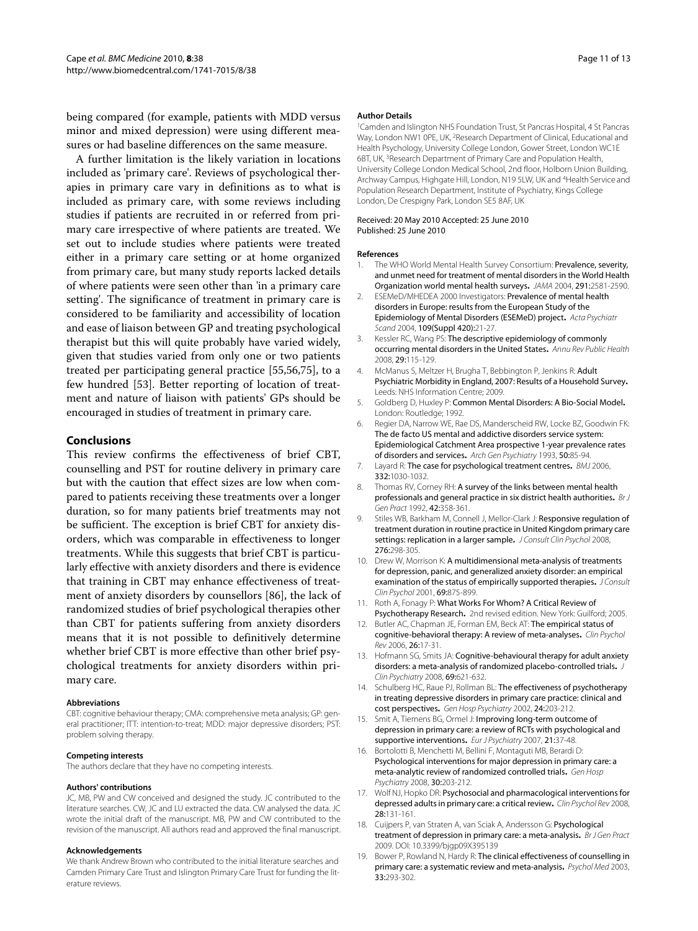being compared (for example, patients with MDD versus minor and mixed depression) were using different measures or had baseline differences on the same measure.

A further limitation is the likely variation in locations included as 'primary care'. Reviews of psychological therapies in primary care vary in definitions as to what is included as primary care, with some reviews including studies if patients are recruited in or referred from primary care irrespective of where patients are treated. We set out to include studies where patients were treated either in a primary care setting or at home organized from primary care, but many study reports lacked details of where patients were seen other than 'in a primary care setting'. The significance of treatment in primary care is considered to be familiarity and accessibility of location and ease of liaison between GP and treating psychological therapist but this will quite probably have varied widely, given that studies varied from only one or two patients treated per participating general practice [\[55](#page-11-54)[,56](#page-11-29)[,75](#page-12-1)], to a few hundred [[53\]](#page-11-55). Better reporting of location of treatment and nature of liaison with patients' GPs should be encouraged in studies of treatment in primary care.

# **Conclusions**

This review confirms the effectiveness of brief CBT, counselling and PST for routine delivery in primary care but with the caution that effect sizes are low when compared to patients receiving these treatments over a longer duration, so for many patients brief treatments may not be sufficient. The exception is brief CBT for anxiety disorders, which was comparable in effectiveness to longer treatments. While this suggests that brief CBT is particularly effective with anxiety disorders and there is evidence that training in CBT may enhance effectiveness of treatment of anxiety disorders by counsellors [\[86](#page-12-21)], the lack of randomized studies of brief psychological therapies other than CBT for patients suffering from anxiety disorders means that it is not possible to definitively determine whether brief CBT is more effective than other brief psychological treatments for anxiety disorders within primary care.

#### **Abbreviations**

CBT: cognitive behaviour therapy; CMA: comprehensive meta analysis; GP: general practitioner; ITT: intention-to-treat; MDD: major depressive disorders; PST: problem solving therapy.

#### **Competing interests**

The authors declare that they have no competing interests.

#### **Authors' contributions**

JC, MB, PW and CW conceived and designed the study. JC contributed to the literature searches. CW, JC and LU extracted the data. CW analysed the data. JC wrote the initial draft of the manuscript. MB, PW and CW contributed to the revision of the manuscript. All authors read and approved the final manuscript.

#### **Acknowledgements**

We thank Andrew Brown who contributed to the initial literature searches and Camden Primary Care Trust and Islington Primary Care Trust for funding the literature reviews.

#### **Author Details**

1Camden and Islington NHS Foundation Trust, St Pancras Hospital, 4 St Pancras Way, London NW1 0PE, UK, 2Research Department of Clinical, Educational and Health Psychology, University College London, Gower Street, London WC1E 6BT, UK, 3Research Department of Primary Care and Population Health, University College London Medical School, 2nd floor, Holborn Union Building, Archway Campus, Highgate Hill, London, N19 5LW, UK and 4Health Service and Population Research Department, Institute of Psychiatry, Kings College London, De Crespigny Park, London SE5 8AF, UK

#### Received: 20 May 2010 Accepted: 25 June 2010 Published: 25 June 2010

#### **References**

- <span id="page-10-0"></span>1. The WHO World Mental Health Survey Consortium: Prevalence, severity, and unmet need for treatment of mental disorders in the World Health Organization world mental health surveys**.** JAMA 2004, 291:2581-2590.
- 2. ESEMeD/MHEDEA 2000 Investigators: Prevalence of mental health disorders in Europe: results from the European Study of the Epidemiology of Mental Disorders (ESEMeD) project**.** Acta Psychiatr Scand 2004, 109(Suppl 420):21-27.
- 3. Kessler RC, Wang PS: The descriptive epidemiology of commonly occurring mental disorders in the United States**.** Annu Rev Public Health 2008, 29:115-129.
- <span id="page-10-1"></span>4. McManus S, Meltzer H, Brugha T, Bebbington P, Jenkins R: Adult Psychiatric Morbidity in England, 2007: Results of a Household Survey**.** Leeds: NHS Information Centre; 2009.
- <span id="page-10-2"></span>5. Goldberg D, Huxley P: Common Mental Disorders: A Bio-Social Model**.** London: Routledge; 1992.
- <span id="page-10-3"></span>6. Regier DA, Narrow WE, Rae DS, Manderscheid RW, Locke BZ, Goodwin FK: The de facto US mental and addictive disorders service system: Epidemiological Catchment Area prospective 1-year prevalence rates of disorders and services**[.](http://www.ncbi.nlm.nih.gov/entrez/query.fcgi?cmd=Retrieve&db=PubMed&dopt=Abstract&list_uids=8427558)** Arch Gen Psychiatry 1993, 50:85-94.
- <span id="page-10-4"></span>7. Layard R: The case for psychological treatment centres**[.](http://www.ncbi.nlm.nih.gov/entrez/query.fcgi?cmd=Retrieve&db=PubMed&dopt=Abstract&list_uids=16644834)** BMJ 2006, 332:1030-1032.
- <span id="page-10-5"></span>8. Thomas RV, Corney RH: A survey of the links between mental health professionals and general practice in six district health authorities**.** Br J Gen Pract 1992, 42:358-361.
- <span id="page-10-6"></span>Stiles WB, Barkham M, Connell J, Mellor-Clark J: Responsive regulation of treatment duration in routine practice in United Kingdom primary care settings: replication in a larger sample. J Consult Clin Psychol 2008, 276:298-305.
- <span id="page-10-7"></span>10. Drew W, Morrison K: A multidimensional meta-analysis of treatments for depression, panic, and generalized anxiety disorder: an empirical examination of the status of empirically supported therapies**.** J Consult Clin Psychol 2001, 69:875-899.
- <span id="page-10-8"></span>11. Roth A, Fonagy P: What Works For Whom? A Critical Review of Psychotherapy Research**.** 2nd revised edition. New York: Guilford; 2005.
- <span id="page-10-13"></span>12. Butler AC, Chapman JE, Forman EM, Beck AT: The empirical status of cognitive-behavioral therapy: A review of meta-analyses**[.](http://www.ncbi.nlm.nih.gov/entrez/query.fcgi?cmd=Retrieve&db=PubMed&dopt=Abstract&list_uids=16199119)** Clin Psychol Rev 2006, 26:17-31.
- <span id="page-10-9"></span>13. Hofmann SG, Smits JA: Cognitive-behavioural therapy for adult anxiety disorders: a meta-analysis of randomized placebo-controlled trials**.** J Clin Psychiatry 2008, 69:621-632.
- <span id="page-10-10"></span>14. Schulberg HC, Raue PJ, Rollman BL: The effectiveness of psychotherapy in treating depressive disorders in primary care practice: clinical and cost perspectives**.** Gen Hosp Psychiatry 2002, 24:203-212.
- 15. Smit A, Tiemens BG, Ormel J: Improving long-term outcome of depression in primary care: a review of RCTs with psychological and supportive interventions**.** Eur J Psychiatry 2007, 21:37-48.
- 16. Bortolotti B, Menchetti M, Bellini F, Montaguti MB, Berardi D: Psychological interventions for major depression in primary care: a meta-analytic review of randomized controlled trials**.** Gen Hosp Psychiatry 2008, 30:203-212.
- 17. Wolf NJ, Hopko DR: Psychosocial and pharmacological interventions for depressed adults in primary care: a critical review**.** Clin Psychol Rev 2008, 28:131-161.
- <span id="page-10-11"></span>18. Cuijpers P, van Straten A, van Sciak A, Andersson G: Psychological treatment of depression in primary care: a meta-analysis**.** Br J Gen Pract 2009. DOI: 10.3399/bjgp09X395139
- <span id="page-10-12"></span>19. Bower P, Rowland N, Hardy R: The clinical effectiveness of counselling in primary care: a systematic review and meta-analysis**.** Psychol Med 2003, 33:293-302.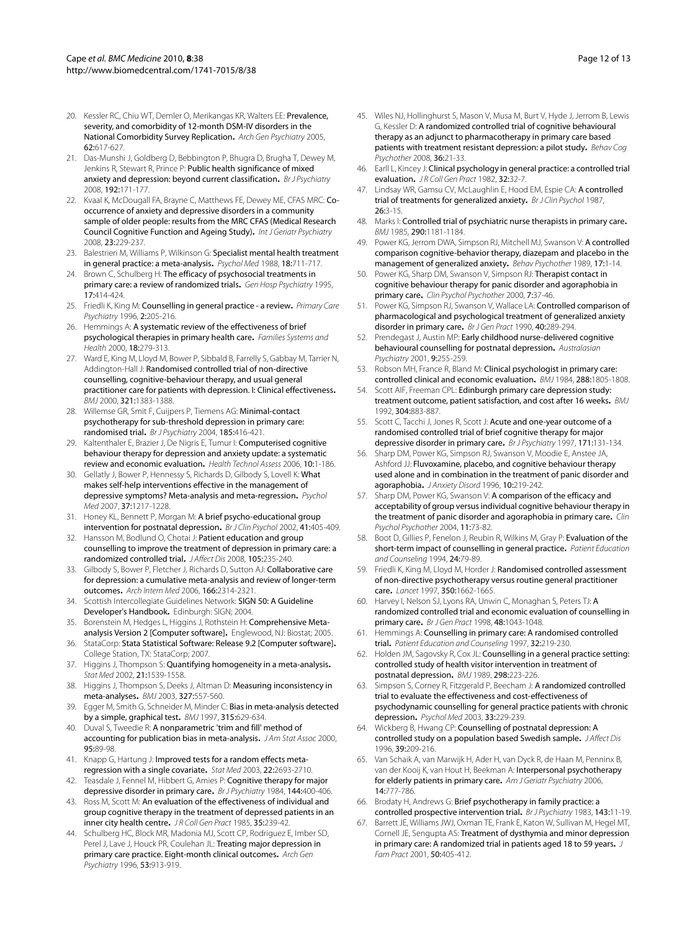- <span id="page-11-52"></span><span id="page-11-0"></span>20. Kessler RC, Chiu WT, Demler O, Merikangas KR, Walters EE: Prevalence, severity, and comorbidity of 12-month DSM-IV disorders in the National Comorbidity Survey Replication**[.](http://www.ncbi.nlm.nih.gov/entrez/query.fcgi?cmd=Retrieve&db=PubMed&dopt=Abstract&list_uids=15939839)** Arch Gen Psychiatry 2005, 62:617-627.
- 21. Das-Munshi J, Goldberg D, Bebbington P, Bhugra D, Brugha T, Dewey M, Jenkins R, Stewart R, Prince P: Public health significance of mixed anxiety and depression: beyond current classification**.** Br J Psychiatry 2008, 192:171-177.
- <span id="page-11-1"></span>22. Kvaal K, McDougall FA, Brayne C, Matthews FE, Dewey ME, CFAS MRC: Cooccurrence of anxiety and depressive disorders in a community sample of older people: results from the MRC CFAS (Medical Research Council Cognitive Function and Ageing Study)**[.](http://www.ncbi.nlm.nih.gov/entrez/query.fcgi?cmd=Retrieve&db=PubMed&dopt=Abstract&list_uids=17631679)** Int J Geriatr Psychiatry 2008, 23:229-237.
- <span id="page-11-2"></span>23. Balestrieri M, Williams P, Wilkinson G: Specialist mental health treatment in general practice: a meta-analysis**[.](http://www.ncbi.nlm.nih.gov/entrez/query.fcgi?cmd=Retrieve&db=PubMed&dopt=Abstract&list_uids=3054991)** Psychol Med 1988, 18:711-717.
- 24. Brown C, Schulberg H: The efficacy of psychosocial treatments in primary care: a review of randomized trials**.** Gen Hosp Psychiatry 1995, 17:414-424.
- 25. Friedli K, King M: Counselling in general practice a review**.** Primary Care Psychiatry 1996, 2:205-216.
- <span id="page-11-3"></span>26. Hemmings A: A systematic review of the effectiveness of brief psychological therapies in primary health care**.** Families Systems and Health 2000, 18:279-313.
- <span id="page-11-4"></span>27. Ward E, King M, Lloyd M, Bower P, Sibbald B, Farrelly S, Gabbay M, Tarrier N, Addington-Hall J: Randomised controlled trial of non-directive counselling, cognitive-behaviour therapy, and usual general practitioner care for patients with depression. I: Clinical effectiveness**[.](http://www.ncbi.nlm.nih.gov/entrez/query.fcgi?cmd=Retrieve&db=PubMed&dopt=Abstract&list_uids=11099284)** BMJ 2000, 321:1383-1388.
- <span id="page-11-5"></span>28. Willemse GR, Smit F, Cuijpers P, Tiemens AG: Minimal-contact psychotherapy for sub-threshold depression in primary care: randomised trial**.** Br J Psychiatry 2004, 185:416-421.
- 29. Kaltenthaler E, Brazier J, De Nigris E, Tumur I: Computerised cognitive behaviour therapy for depression and anxiety update: a systematic review and economic evaluation**.** Health Technol Assess 2006, 10:1-186.
- <span id="page-11-6"></span>30. Gellatly J, Bower P, Hennessy S, Richards D, Gilbody S, Lovell K: What makes self-help interventions effective in the management of depressive symptoms? Meta-analysis and meta-regression**[.](http://www.ncbi.nlm.nih.gov/entrez/query.fcgi?cmd=Retrieve&db=PubMed&dopt=Abstract&list_uids=17306044)** Psychol Med 2007, 37:1217-1228.
- <span id="page-11-7"></span>31. Honey KL, Bennett P, Morgan M: A brief psycho-educational group intervention for postnatal depression**.** Br J Clin Psychol 2002, 41:405-409.
- <span id="page-11-8"></span>32. Hansson M, Bodlund O, Chotai J: Patient education and group counselling to improve the treatment of depression in primary care: a randomized controlled trial**.** J Affect Dis 2008, 105:235-240.
- <span id="page-11-9"></span>33. Gilbody S, Bower P, Fletcher J, Richards D, Sutton AJ: Collaborative care for depression: a cumulative meta-analysis and review of longer-term outcomes**.** Arch Intern Med 2006, 166:2314-2321.
- <span id="page-11-10"></span>34. Scottish Intercollegiate Guidelines Network: SIGN 50: A Guideline Developer's Handbook**.** Edinburgh: SIGN; 2004.
- <span id="page-11-11"></span>35. Borenstein M, Hedges L, Higgins J, Rothstein H: Comprehensive Metaanalysis Version 2 [Computer software]**.** Englewood, NJ: Biostat; 2005.
- <span id="page-11-12"></span>36. StataCorp: Stata Statistical Software: Release 9.2 [Computer software]**.** College Station, TX: StataCorp; 2007.
- <span id="page-11-13"></span>37. Higgins J, Thompson S: Quantifying homogeneity in a meta-analysis**.** Stat Med 2002, 21:1539-1558.
- <span id="page-11-14"></span>38. Higgins J, Thompson S, Deeks J, Altman D: Measuring inconsistency in meta-analyses**[.](http://www.ncbi.nlm.nih.gov/entrez/query.fcgi?cmd=Retrieve&db=PubMed&dopt=Abstract&list_uids=12958120)** BMJ 2003, 327:557-560.
- <span id="page-11-15"></span>39. Egger M, Smith G, Schneider M, Minder C: Bias in meta-analysis detected by a simple, graphical test**.** BMJ 1997, 315:629-634.
- <span id="page-11-16"></span>40. Duval S, Tweedie R: A nonparametric 'trim and fill' method of accounting for publication bias in meta-analysis**.** J Am Stat Assoc 2000, 95:89-98.
- <span id="page-11-17"></span>41. Knapp G, Hartung J: Improved tests for a random effects metaregression with a single covariate**.** Stat Med 2003, 22:2693-2710.
- <span id="page-11-18"></span>42. Teasdale J, Fennel M, Hibbert G, Amies P: Cognitive therapy for major depressive disorder in primary care**.** Br J Psychiatry 1984, 144:400-406.
- 43. Ross M, Scott M: An evaluation of the effectiveness of individual and group cognitive therapy in the treatment of depressed patients in an inner city health centre. JR Coll Gen Pract 1985, 35:239-42.
- 44. Schulberg HC, Block MR, Madonia MJ, Scott CP, Rodriguez E, Imber SD, Perel J, Lave J, Houck PR, Coulehan JL: Treating major depression in primary care practice. Eight-month clinical outcomes**.** Arch Gen Psychiatry 1996, 53:913-919.
- <span id="page-11-45"></span><span id="page-11-44"></span><span id="page-11-43"></span><span id="page-11-42"></span><span id="page-11-41"></span><span id="page-11-40"></span><span id="page-11-39"></span><span id="page-11-34"></span><span id="page-11-19"></span>45. Wiles NJ, Hollinghurst S, Mason V, Musa M, Burt V, Hyde J, Jerrom B, Lewis G, Kessler D: A randomized controlled trial of cognitive behavioural therapy as an adjunct to pharmacotherapy in primary care based patients with treatment resistant depression: a pilot study**.** Behav Cog Psychother 2008, 36:21-33.
- <span id="page-11-46"></span><span id="page-11-20"></span>46. Earll L, Kincey J: Clinical psychology in general practice: a controlled trial evaluation. JR Coll Gen Pract 1982, 32:32-7
- <span id="page-11-47"></span>47. Lindsay WR, Gamsu CV, McLaughlin E, Hood EM, Espie CA: A controlled trial of treatments for generalized anxiety**.** Br J Clin Psychol 1987, 26:3-15.
- <span id="page-11-48"></span>48. Marks I: Controlled trial of psychiatric nurse therapists in primary care**.** BMJ 1985, 290:1181-1184.
- <span id="page-11-27"></span>49. Power KG, Jerrom DWA, Simpson RJ, Mitchell MJ, Swanson V: A controlled comparison cognitive-behavior therapy, diazepam and placebo in the management of generalized anxiety**.** Behav Psychother 1989, 17:1-14.
- <span id="page-11-49"></span>50. Power KG, Sharp DM, Swanson V, Simpson RJ: Therapist contact in cognitive behaviour therapy for panic disorder and agoraphobia in primary care**.** Clin Psychol Psychother 2000, 7:37-46.
- <span id="page-11-32"></span><span id="page-11-28"></span>51. Power KG, Simpson RJ, Swanson V, Wallace LA: Controlled comparison of pharmacological and psychological treatment of generalized anxiety disorder in primary care**.** Br J Gen Pract 1990, 40:289-294.
- <span id="page-11-35"></span>52. Prendegast J, Austin MP: Early childhood nurse-delivered cognitive behavioural counselling for postnatal depression**.** Australasian Psychiatry 2001, 9:255-259.
- <span id="page-11-55"></span><span id="page-11-36"></span>53. Robson MH, France R, Bland M: Clinical psychologist in primary care: controlled clinical and economic evaluation**[.](http://www.ncbi.nlm.nih.gov/entrez/query.fcgi?cmd=Retrieve&db=PubMed&dopt=Abstract&list_uids=6428555)** BMJ 1984, 288:1805-1808.
- <span id="page-11-37"></span>54. Scott AIF, Freeman CPL: Edinburgh primary care depression study: treatment outcome, patient satisfaction, and cost after 16 weeks**.** BMJ 1992, 304:883-887.
- <span id="page-11-54"></span><span id="page-11-38"></span>55. Scott C, Tacchi J, Jones R, Scott J: Acute and one-year outcome of a randomised controlled trial of brief cognitive therapy for major depressive disorder in primary care**.** Br J Psychiatry 1997, 171:131-134.
- <span id="page-11-50"></span><span id="page-11-29"></span>56. Sharp DM, Power KG, Simpson RJ, Swanson V, Moodie E, Anstee JA, Ashford JJ: Fluvoxamine, placebo, and cognitive behaviour therapy used alone and in combination in the treatment of panic disorder and agoraphobia**.** J Anxiety Disord 1996, 10:219-242.
- <span id="page-11-53"></span><span id="page-11-21"></span>57. Sharp DM, Power KG, Swanson V: A comparison of the efficacy and acceptability of group versus individual cognitive behaviour therapy in the treatment of panic disorder and agoraphobia in primary care**.** Clin Psychol Psychother 2004, 11:73-82.
- <span id="page-11-51"></span><span id="page-11-22"></span>58. Boot D, Gillies P, Fenelon J, Reubin R, Wilkins M, Gray P: Evaluation of the short-term impact of counselling in general practice**.** Patient Education and Counseling 1994, 24:79-89.
- <span id="page-11-33"></span>59. Friedli K, King M, Lloyd M, Horder J: Randomised controlled assessment of non-directive psychotherapy versus routine general practitioner care**.** Lancet 1997, 350:1662-1665.
- <span id="page-11-31"></span>60. Harvey I, Nelson SJ, Lyons RA, Unwin C, Monaghan S, Peters TJ: A randomized controlled trial and economic evaluation of counselling in primary care**.** Br J Gen Pract 1998, 48:1043-1048.
- 61. Hemmings A: Counselling in primary care: A randomised controlled trial**.** Patient Education and Counseling 1997, 32:219-230.
- <span id="page-11-30"></span>62. Holden JM, Sagovsky R, Cox JL: Counselling in a general practice setting: controlled study of health visitor intervention in treatment of postnatal depression**.** BMJ 1989, 298:223-226.
- 63. Simpson S, Corney R, Fitzgerald P, Beecham J: A randomized controlled trial to evaluate the effectiveness and cost-effectiveness of psychodynamic counselling for general practice patients with chronic depression**.** Psychol Med 2003, 33:229-239.
- <span id="page-11-23"></span>64. Wickberg B, Hwang CP: Counselling of postnatal depression: A controlled study on a population based Swedish sample**.** J Affect Dis 1996, 39:209-216.
- <span id="page-11-24"></span>65. Van Schaik A, van Marwijk H, Ader H, van Dyck R, de Haan M, Penninx B, van der Kooij K, van Hout H, Beekman A: Interpersonal psychotherapy for elderly patients in primary care**.** Am J Geriatr Psychiatry 2006, 14:777-786.
- <span id="page-11-25"></span>66. Brodaty H, Andrews G: Brief psychotherapy in family practice: a controlled prospective intervention trial**.** Br J Psychiatry 1983, 143:11-19.
- <span id="page-11-26"></span>67. Barrett JE, Williams JWJ, Oxman TE, Frank E, Katon W, Sullivan M, Hegel MT, Cornell JE, Sengupta AS: Treatment of dysthymia and minor depression in primary care: A randomized trial in patients aged 18 to 59 years**[.](http://www.ncbi.nlm.nih.gov/entrez/query.fcgi?cmd=Retrieve&db=PubMed&dopt=Abstract&list_uids=11350703)** J Fam Pract 2001, 50:405-412.